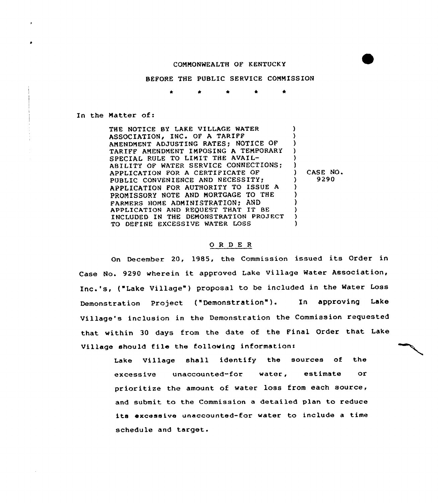## COMMONWEALTH OF KENTUCKY

BEFORE THE PUBLIC SERVICE COMMISSION

\* \* \*

In the Matter of:

THE NOTICE BY LAKE VILLAGE WATER ASSOCIATION, INC. OF A TARIFF AMENDMENT ADJUSTING RATES; NOTICE OF TARIFF AMENDMENT IMPOSING A TEMPORARY SPECIAL RULE TO LIMIT THE AVAIL-ABILITY OF WATER SERVICE CONNECTIONS; APPLICATION FOR <sup>A</sup> CERTIFICATE OF PUBLIC CONVENIENCE AND NECESSITY, APPLICATION FOR AUTHORITY TO ISSUE <sup>A</sup> PROMISSORY NOTE AND MORTGAGE TO THE FARMERS HOME ADMINISTRATION; AND APPLICATION AND REQUEST THAT IT BE INCLUDED IN THE DEMONSTRATION PROJECT TO DEFINE EXCESSIVE WATER IOSS ) ) ) ) ) ) ) CASE NO. ) 9290 ) ) ) ) ) )

## 0 <sup>R</sup> <sup>D</sup> E <sup>R</sup>

On December 20, 1985, the Commission issued its Order in Case No. 9290 wherein it approved Lake Village Water Association, Inc.'s, ("Lake Village") proposal to be included in the Water Loss Demonstration Project ("Demonstration"). In approving Lake Village's inclusion in the Demonstration the Commission requested that within <sup>30</sup> days from the date of the Final Order that Lake Village should file the following information:

> Lake Village shall identify the sources of the excessive unaccounted-for water, estimate or prioritize the amount of water loss from each source, and submit to the Commission a detailed plan to reduce its excessive unaccounted-for water to include a time schedule and target.